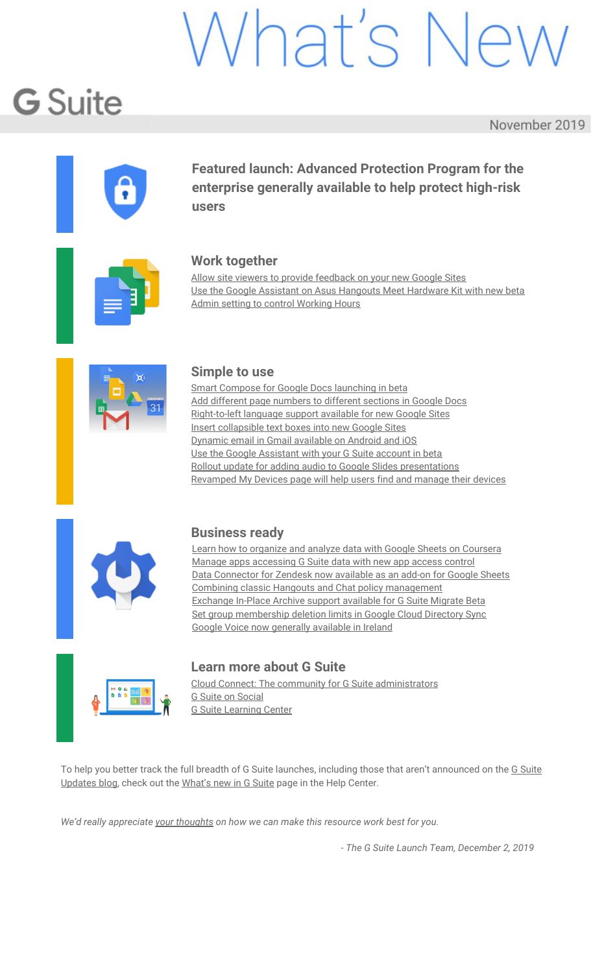# Vhat's Ne

# **G** Suite

November 2019

<span id="page-0-0"></span>

**Featured launch: Advanced Protection Program for the enterprise generally available to help protect high-risk users**



### **Work together**

Allow site viewers to provide [feedback](#page-3-0) on your new Google Sites Use the Google Assistant on Asus [Hangouts](#page-5-0) Meet Hardware Kit with new beta Admin setting to control [Working](#page-5-1) Hours



#### **Simple to use**

Smart Compose for Google Docs [launching](#page-7-0) in beta Add different page [numbers](#page-8-0) to different sections in Google Docs [Right-to-left](#page-8-1) language support available for new Google Sites Insert [collapsible](#page-9-0) text boxes into new Google Sites Dynamic email in Gmail [available](#page-10-0) on Android and iOS Use the Google [Assistant](#page-10-1) with your G Suite account in beta Rollout update for adding audio to Google Slides [presentations](#page-11-0) [Revamped](#page-12-0) My Devices page will help users find and manage their devices



### **Business ready**

Learn how to organize and analyze data with Google Sheets on [Coursera](#page-13-0) Manage apps [accessing](#page-13-1) G Suite data with new app access control Data [Connector](#page-15-0) for Zendesk now available as an add-on for Google Sheets Combining classic Hangouts and Chat policy [management](#page-16-0) [Exchange](#page-17-0) In-Place Archive support available for G Suite Migrate Beta Set group [membership](#page-18-0) deletion limits in Google Cloud Directory Sync Google Voice now [generally](#page-18-1) available in Ireland



### **Learn more about G Suite**

Cloud Connect: The community for G Suite [administrators](#page-20-0) G Suite on [Social](#page-20-1) G Suite [Learning](#page-20-2) Center

To help you better track the full breadth of G [Suite](https://gsuiteupdates.googleblog.com/) launches, including those that aren't announced on the G Suite [Updates](https://gsuiteupdates.googleblog.com/) blog, check out the [What's](https://support.google.com/a/go/whatsnew) new in G Suite page in the Help Center.

*We'd really appreciate your [thoughts](https://docs.google.com/a/google.com/forms/d/19AJmnJuG_JWdOTSf0B_kL1DFemE8bbkJbZ42Iz6uDx0/viewform) on how we can make this resource work best for you.*

*- The G Suite Launch Team, December 2, 2019*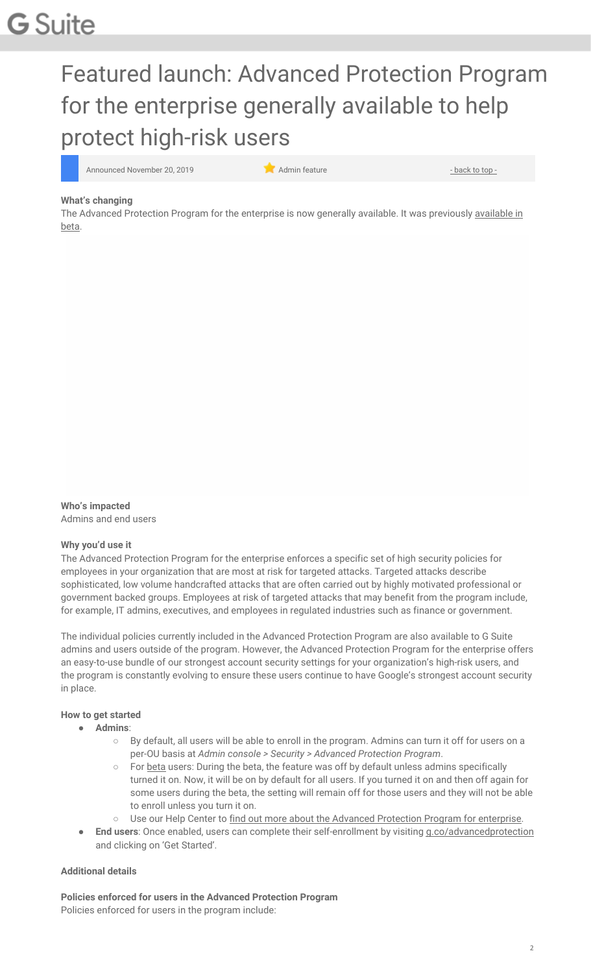# Featured launch: Advanced Protection Program for the enterprise generally available to help protect high-risk users

Announced November 20, 2019 **Administrative Contract of Administrative Administrative** - [back](#page-0-0) to top -

#### **What's changing**

The Advanced Protection Program for the enterprise is now generally [available](https://gsuiteupdates.googleblog.com/2019/07/advanced-protection-program-enterprise.html). It was previously available in [beta](https://gsuiteupdates.googleblog.com/2019/07/advanced-protection-program-enterprise.html).

**Who's impacted**

Admins and end users

#### **Why you'd use it**

The Advanced Protection Program for the enterprise enforces a specific set of high security policies for employees in your organization that are most at risk for targeted attacks. Targeted attacks describe sophisticated, low volume handcrafted attacks that are often carried out by highly motivated professional or government backed groups. Employees at risk of targeted attacks that may benefit from the program include, for example, IT admins, executives, and employees in regulated industries such as finance or government.

The individual policies currently included in the Advanced Protection Program are also available to G Suite admins and users outside of the program. However, the Advanced Protection Program for the enterprise offers an easy-to-use bundle of our strongest account security settings for your organization's high-risk users, and the program is constantly evolving to ensure these users continue to have Google's strongest account security in place.

#### **How to get started**

- **Admins**:
	- By default, all users will be able to enroll in the program. Admins can turn it off for users on a per-OU basis at *Admin console > Security > Advanced Protection Program*.
	- For [beta](https://gsuiteupdates.googleblog.com/2019/07/advanced-protection-program-enterprise.html) users: During the beta, the feature was off by default unless admins specifically turned it on. Now, it will be on by default for all users. If you turned it on and then off again for some users during the beta, the setting will remain off for those users and they will not be able to enroll unless you turn it on.
	- o Use our Help Center to find out more about the Advanced [Protection](https://support.google.com/a/answer/9378686) Program for enterprise.
- **End users:** Once enabled, users can complete their self-enrollment by visiting [g.co/advancedprotection](http://g.co/advancedprotection) and clicking on 'Get Started'.

#### **Additional details**

**Policies enforced for users in the Advanced Protection Program** Policies enforced for users in the program include: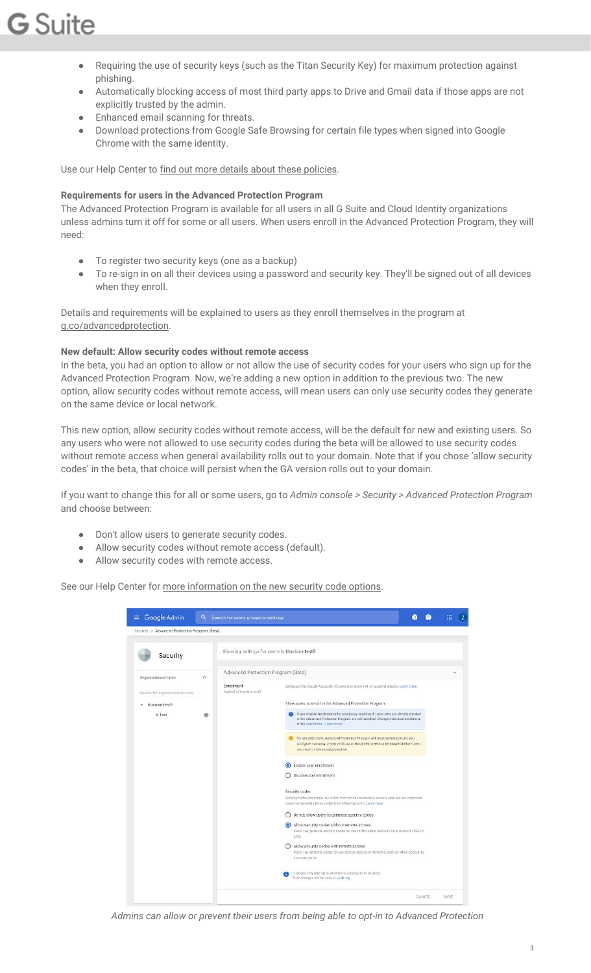- Requiring the use of security keys (such as the Titan Security Key) for maximum protection against phishing.
- Automatically blocking access of most third party apps to Drive and Gmail data if those apps are not explicitly trusted by the admin.
- Enhanced email scanning for threats.
- Download protections from Google Safe Browsing for certain file types when signed into Google Chrome with the same identity.

Use our Help Center to find out more details about these [policies](https://support.google.com/a/answer/9378686).

#### **Requirements for users in the Advanced Protection Program**

The Advanced Protection Program is available for all users in all G Suite and Cloud Identity organizations unless admins turn it off for some or all users. When users enroll in the Advanced Protection Program, they will need:

- To register two security keys (one as a backup)
- To re-sign in on all their devices using a password and security key. They'll be signed out of all devices when they enroll.

Details and requirements will be explained to users as they enroll themselves in the program at [g.co/advancedprotection.](http://g.co/advancedprotection)

#### **New default: Allow security codes without remote access**

In the beta, you had an option to allow or not allow the use of security codes for your users who sign up for the Advanced Protection Program. Now, we're adding a new option in addition to the previous two. The new option, allow security codes without remote access, will mean users can only use security codes they generate on the same device or local network.

This new option, allow security codes without remote access, will be the default for new and existing users. So any users who were not allowed to use security codes during the beta will be allowed to use security codes without remote access when general availability rolls out to your domain. Note that if you chose 'allow security codes' in the beta, that choice will persist when the GA version rolls out to your domain.

If you want to change this for all or some users, go to *Admin console > Security > Advanced Protection Program* and choose between:

- Don't allow users to generate security codes.
- Allow security codes without remote access (default).
- Allow security codes with remote access.

See our Help Center for more [information](https://support.google.com/a/answer/9176657#securitycode) on the new security code options.

| Security > Advanced Protection Program (Beta)<br>Security<br>Organizational Units |   | Showing settings for users in titanium-test9    |                                                                                                                                                                                                                        |   |
|-----------------------------------------------------------------------------------|---|-------------------------------------------------|------------------------------------------------------------------------------------------------------------------------------------------------------------------------------------------------------------------------|---|
|                                                                                   |   |                                                 |                                                                                                                                                                                                                        |   |
|                                                                                   |   |                                                 |                                                                                                                                                                                                                        |   |
|                                                                                   | ٨ | Advanced Protection Program (Beta)              |                                                                                                                                                                                                                        | ۸ |
| Search for organizational units                                                   |   | <b>Enrollment</b><br>Applied of titanium testly | Safeguard the Google Accounts of users who are at risk of targeted attacks. Learn more                                                                                                                                 |   |
| titanium-test9                                                                    |   |                                                 | Allow users to enroll in the Advanced Protection Program                                                                                                                                                               |   |
| K Test                                                                            | e |                                                 | If you disable enrollment after previously enabling it, users who are already enrolled<br>Θ<br>in the Advanced Protection Program are still enrolled. Change individual enrollment<br>in the user profile . Learn more |   |
|                                                                                   |   |                                                 | For enrolled users, Advanced Protection Program policies override policies you<br>configure manually. 2-step verification enrollment needs to be allowed before users<br>can enroll in Advanced protection.            |   |
|                                                                                   |   |                                                 | Enable user enrollment<br>$\odot$<br>Disable user enrollment                                                                                                                                                           |   |
|                                                                                   |   |                                                 |                                                                                                                                                                                                                        |   |
|                                                                                   |   |                                                 | Security codes<br>Security codes are single-use codes that can be used where security keys are not supported.<br>Users can generate these codes from https://g.co/sc. Learn more                                       |   |
|                                                                                   |   |                                                 | Do not allow users to generate security codes                                                                                                                                                                          |   |
|                                                                                   |   |                                                 | (c) Allow security codes without remote access<br>Users can generate security codes for use on the same device or local network (NAT or<br>L4N0                                                                        |   |
|                                                                                   |   |                                                 | Allow security codes with remote access<br>Users can generate codes for use across devices or networks, such as when accessing<br>a remote server.                                                                     |   |
|                                                                                   |   |                                                 | Changes may take up to 24 hours to propagate to all users.<br>Prior changes can be seen in Audit log                                                                                                                   |   |

*Admins can allow or prevent their users from being able to opt-in to Advanced Protection*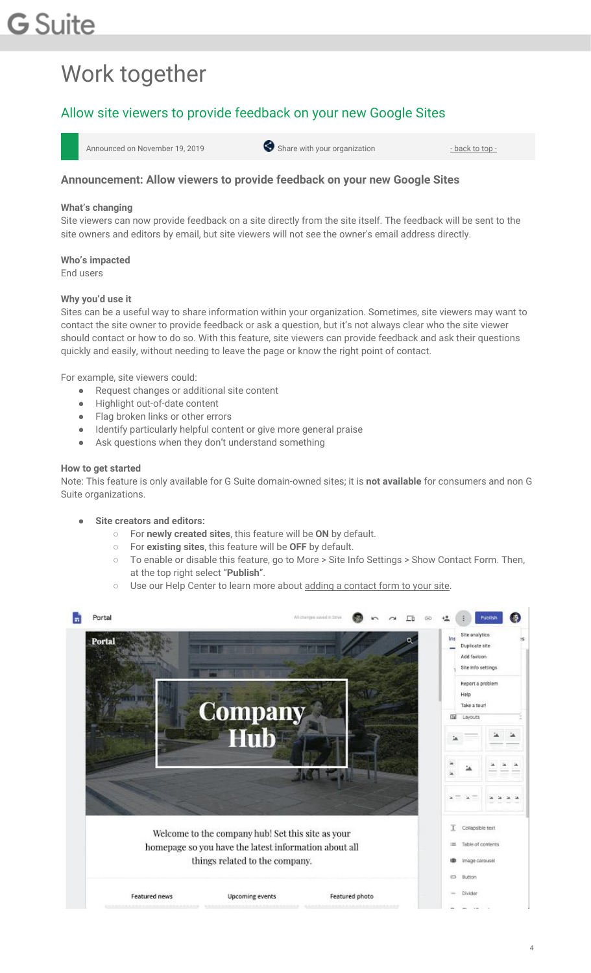# Work together

## <span id="page-3-0"></span>Allow site viewers to provide feedback on your new Google Sites



#### **Announcement: Allow viewers to provide feedback on your new Google Sites**

#### **What's changing**

Site viewers can now provide feedback on a site directly from the site itself. The feedback will be sent to the site owners and editors by email, but site viewers will not see the owner's email address directly.

**Who's impacted** End users

#### **Why you'd use it**

Sites can be a useful way to share information within your organization. Sometimes, site viewers may want to contact the site owner to provide feedback or ask a question, but it's not always clear who the site viewer should contact or how to do so. With this feature, site viewers can provide feedback and ask their questions quickly and easily, without needing to leave the page or know the right point of contact.

For example, site viewers could:

- Request changes or additional site content
- Highlight out-of-date content
- Flag broken links or other errors
- Identify particularly helpful content or give more general praise
- Ask questions when they don't understand something

#### **How to get started**

Note: This feature is only available for G Suite domain-owned sites; it is **not available** for consumers and non G Suite organizations.

- **Site creators and editors:**
	- For **newly created sites**, this feature will be **ON** by default.
	- For **existing sites**, this feature will be **OFF** by default.
	- To enable or disable this feature, go to More > Site Info Settings > Show Contact Form. Then, at the top right select "**Publish**".
	- o Use our Help Center to learn more about adding a [contact](https://support.google.com/sites/answer/98216#contact) form to your site.

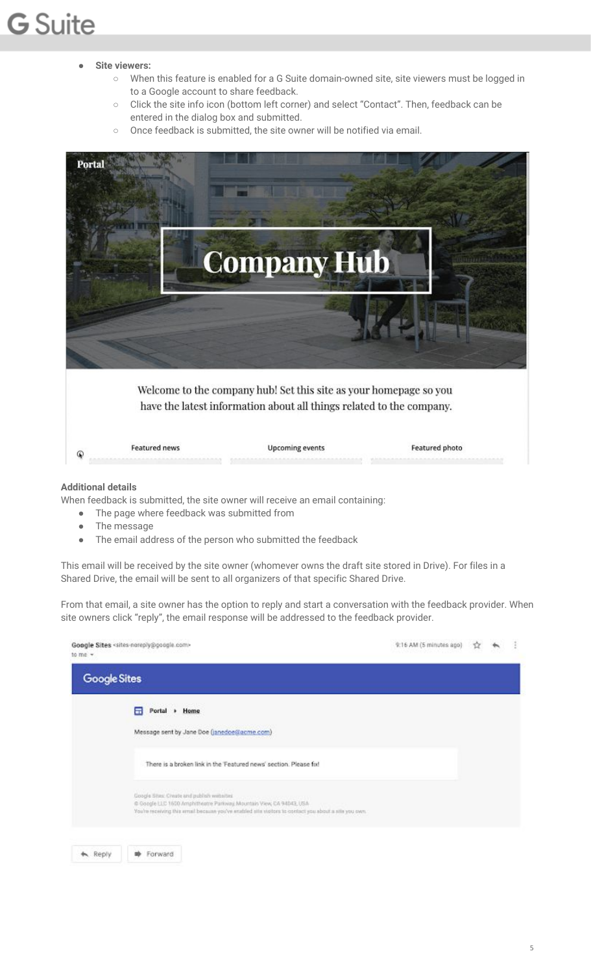#### ● **Site viewers:**

- When this feature is enabled for a G Suite domain-owned site, site viewers must be logged in to a Google account to share feedback.
- Click the site info icon (bottom left corner) and select "Contact". Then, feedback can be entered in the dialog box and submitted.
- Once feedback is submitted, the site owner will be notified via email.



#### **Additional details**

When feedback is submitted, the site owner will receive an email containing:

- The page where feedback was submitted from
- The message
- The email address of the person who submitted the feedback

This email will be received by the site owner (whomever owns the draft site stored in Drive). For files in a Shared Drive, the email will be sent to all organizers of that specific Shared Drive.

From that email, a site owner has the option to reply and start a conversation with the feedback provider. When site owners click "reply", the email response will be addressed to the feedback provider.

| Google Sites                                                                                                                                                                                                                |  |  |
|-----------------------------------------------------------------------------------------------------------------------------------------------------------------------------------------------------------------------------|--|--|
| A<br>Portal + Home                                                                                                                                                                                                          |  |  |
| Message sent by Jane Doe (janedoe@acme.com)                                                                                                                                                                                 |  |  |
| There is a broken link in the 'Featured news' section. Please fol-                                                                                                                                                          |  |  |
| Google Sites: Cheste and publish weits/ted<br>C Google LLC 1600 Amphitheatre Parkway, Mountain View, CA 94043, USA<br>You're receiving this email because you've enabled site visitors to contact you about a site you own. |  |  |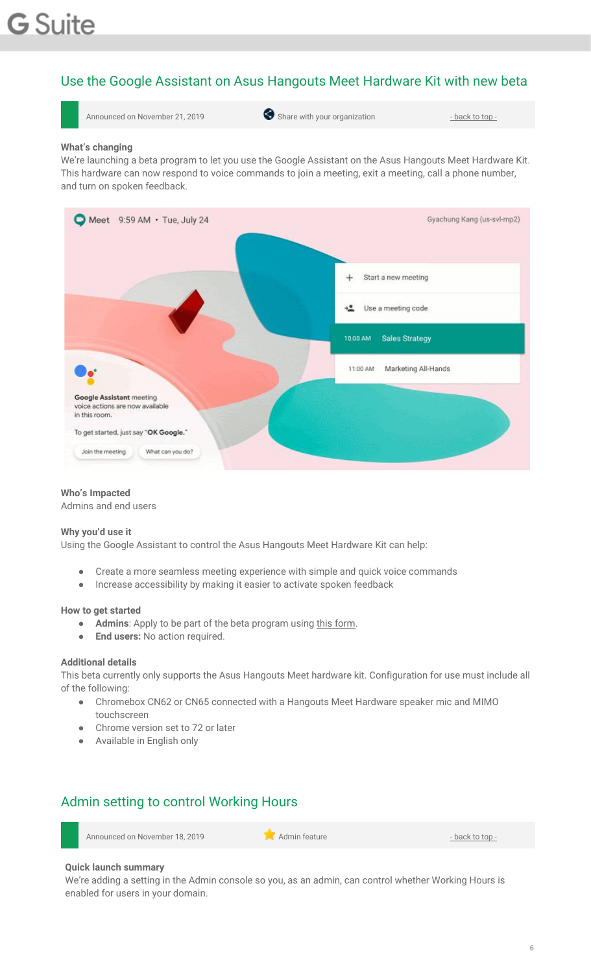# <span id="page-5-0"></span>Use the Google Assistant on Asus Hangouts Meet Hardware Kit with new beta



#### **What's changing**

We're launching a beta program to let you use the Google Assistant on the Asus Hangouts Meet Hardware Kit. This hardware can now respond to voice commands to join a meeting, exit a meeting, call a phone number, and turn on spoken feedback.



#### **Who's Impacted**

Admins and end users

#### **Why you'd use it**

Using the Google Assistant to control the Asus Hangouts Meet Hardware Kit can help:

- Create a more seamless meeting experience with simple and quick voice commands
- Increase accessibility by making it easier to activate spoken feedback

#### **How to get started**

- **Admins**: Apply to be part of the beta program using this [form](https://services.google.com/fb/forms/hangoutsmeethardwarewiththegoogleassistant/).
- **End users:** No action required.

#### **Additional details**

This beta currently only supports the Asus Hangouts Meet hardware kit. Configuration for use must include all of the following:

- Chromebox CN62 or CN65 connected with a Hangouts Meet Hardware speaker mic and MIMO touchscreen
- Chrome version set to 72 or later
- <span id="page-5-1"></span>● Available in English only

### Admin setting to control Working Hours

Announced on November 18, 2019 **Administrative Administrative Administrative** - [back](#page-0-0) to top -

#### **Quick launch summary**

We're adding a setting in the Admin console so you, as an admin, can control whether Working Hours is enabled for users in your domain.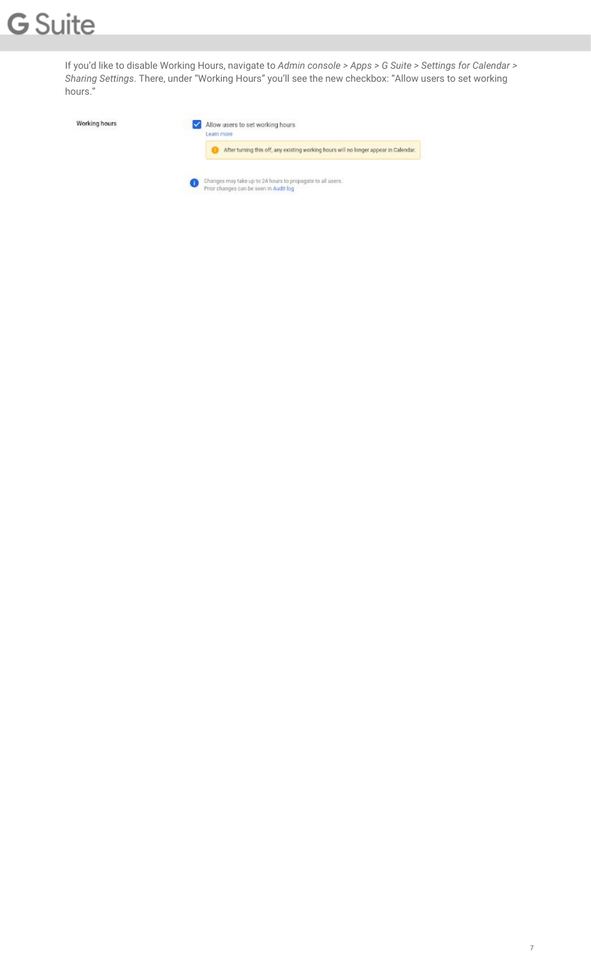If you'd like to disable Working Hours, navigate to *Admin console > Apps > G Suite > Settings for Calendar > Sharing Settings*. There, under "Working Hours" you'll see the new checkbox: "Allow users to set working hours."

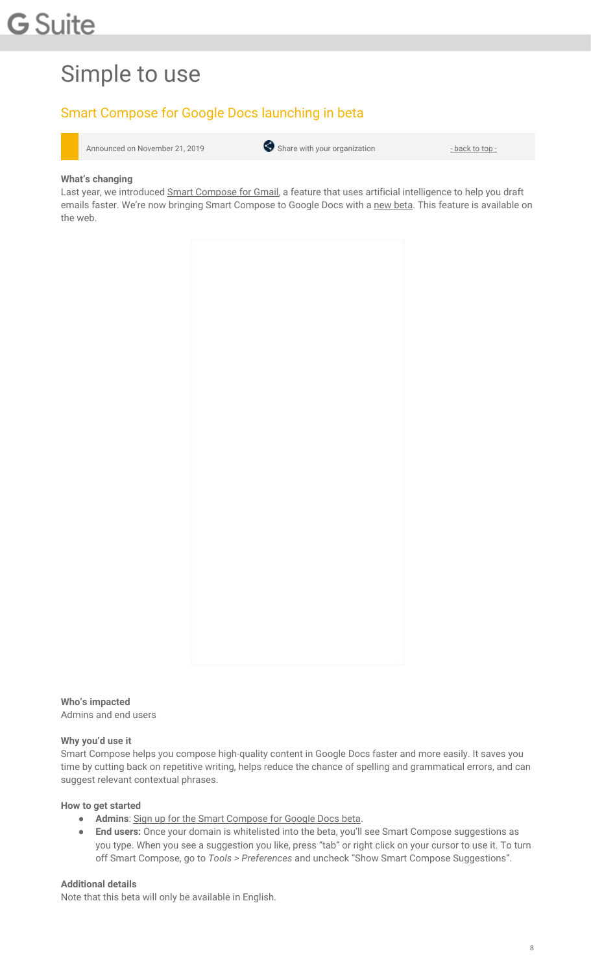# Simple to use

## <span id="page-7-0"></span>Smart Compose for Google Docs launching in beta



#### **What's changing**

Last year, we introduced Smart [Compose](https://gsuiteupdates.googleblog.com/2018/09/gmail-smart-compose-gsuite.html) for Gmail, a feature that uses artificial intelligence to help you draft emails faster. We're now bringing Smart Compose to Google Docs with a new [beta.](https://services.google.com/fb/forms/smartcomposeindocsbeta/) This feature is available on the web.



**Who's impacted** Admins and end users

#### **Why you'd use it**

Smart Compose helps you compose high-quality content in Google Docs faster and more easily. It saves you time by cutting back on repetitive writing, helps reduce the chance of spelling and grammatical errors, and can suggest relevant contextual phrases.

#### **How to get started**

- **Admins**: Sign up for the Smart [Compose](https://services.google.com/fb/forms/smartcomposeindocsbeta/) for Google Docs beta.
- **End users:** Once your domain is whitelisted into the beta, you'll see Smart Compose suggestions as you type. When you see a suggestion you like, press "tab" or right click on your cursor to use it. To turn off Smart Compose, go to *Tools > Preferences* and uncheck "Show Smart Compose Suggestions".

#### **Additional details**

Note that this beta will only be available in English.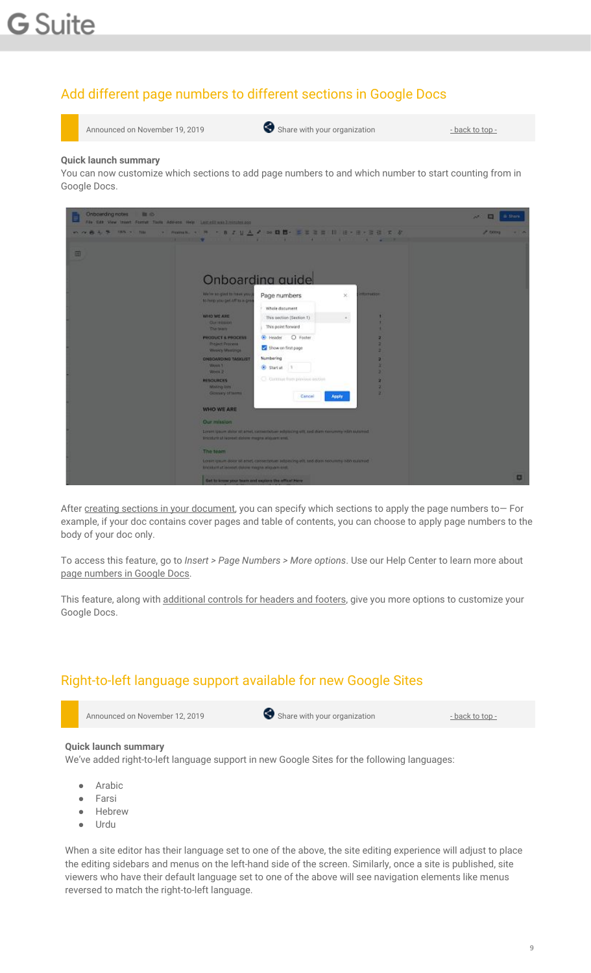# <span id="page-8-0"></span>Add different page numbers to different sections in Google Docs



Announced on November 19, 2019 **Share with your organization** - [back](#page-0-0) to top -

#### **Quick launch summary**

You can now customize which sections to add page numbers to and which number to start counting from in Google Docs.

| <b>Onboarding notes</b><br>图像 | File Edit View transt Forcet Tools Add-ord Help   Last edit was Immates 200      |                                                                                           | B Share<br>æ |
|-------------------------------|----------------------------------------------------------------------------------|-------------------------------------------------------------------------------------------|--------------|
| <b>めの音を見</b> IM-1 IM          |                                                                                  | - Andread - サート B エリムメンの簡単・エヌを目 ID IB · 三十三世 エンタ                                          | <b>Z DOM</b> |
| 画                             |                                                                                  | <b>FOR THE REAL PROPERTY AND INCOME.</b><br>Onboarding quide                              |              |
|                               | We're spiglad to meet you.<br>to here you pet off to a gre-                      | <b>RAFFUCION</b><br>Page numbers<br>×.<br>Whole document                                  |              |
|                               | WHO WE ARE<br><b>Class Wildeson</b><br><b>Die bustt</b>                          | ٠<br>This section (Section 1)<br>$\sim$<br>٠<br>This point forward<br>٠                   |              |
|                               | <b>PRODUCT &amp; PROCESS</b><br><b>Project Process</b><br><b>Weekly Meetings</b> | O Footer<br><sup>(8)</sup> Header<br>2<br>в<br>Show on first page<br>٠                    |              |
|                               | <b>ONEOARDING TASKLIST</b><br>Work 1<br>Week 2                                   | Numbering<br>×<br>٠<br>Start at 1<br>٠                                                    |              |
|                               | <b>HESOURCES</b><br><b>Mixing lists</b><br><b>Glassary of lerms</b>              | C. Gertrust from princess acction<br>x<br>x<br>$\mathbf{z}$<br>Cancel<br>Apply            |              |
|                               | <b>WHO WE ARE</b>                                                                |                                                                                           |              |
|                               | Our mission:                                                                     |                                                                                           |              |
|                               | <b>Brickfurt of Judicial dolors ringits allowant and.</b>                        | Lerem ipsum dolor sil amet, cornectivisam adiptacing will and dram nonumbry midt sucurred |              |
|                               | The team                                                                         |                                                                                           |              |
|                               | England of a copyright shows make the state of the                               | Lotter izeum door sil arte), consectious adipating e91, too diam nonumity nith custored   |              |
|                               | Get to know your boars and ouplans the office! Here                              |                                                                                           | ۰            |

After creating sections in your [document,](https://support.google.com/docs/answer/45893) you can specify which sections to apply the page numbers to- For example, if your doc contains cover pages and table of contents, you can choose to apply page numbers to the body of your doc only.

To access this feature, go to *Insert > Page Numbers > More options*. Use our Help Center to learn more about page [numbers](https://support.google.com/docs/answer/86629?hl=en&co=GENIE.Platform=Desktop) in Google Docs.

This feature, along with [additional](https://gsuiteupdates.googleblog.com/2019/07/more-header-footer-options-docs.html) controls for headers and footers, give you more options to customize your Google Docs.

### <span id="page-8-1"></span>Right-to-left language support available for new Google Sites

Announced on November 12, 2019 **Share with your organization** - [back](#page-0-0) to top -

#### **Quick launch summary**

We've added right-to-left language support in new Google Sites for the following languages:

- Arabic
- Farsi
- Hebrew
- Urdu

When a site editor has their language set to one of the above, the site editing experience will adjust to place the editing sidebars and menus on the left-hand side of the screen. Similarly, once a site is published, site viewers who have their default language set to one of the above will see navigation elements like menus reversed to match the right-to-left language.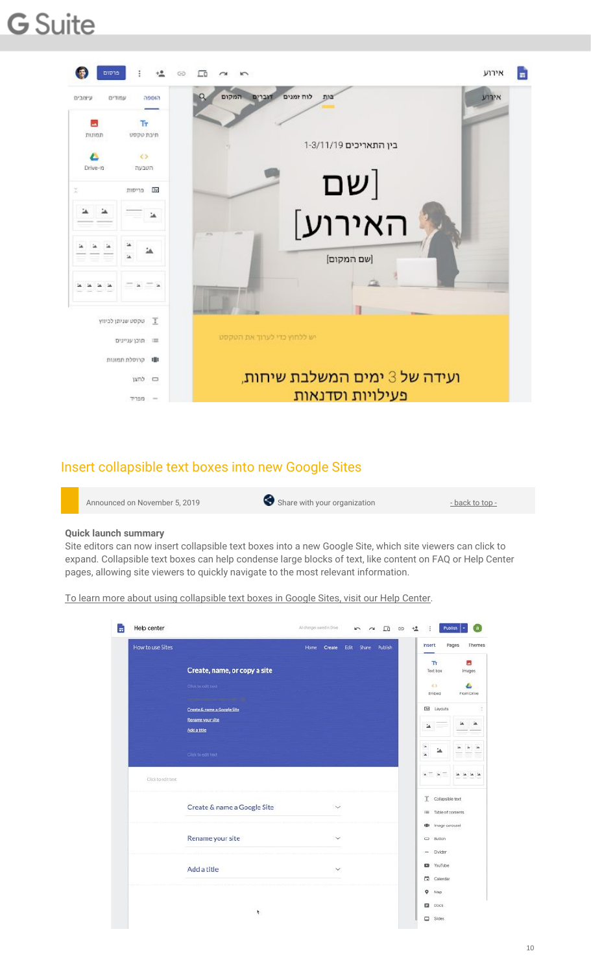

### <span id="page-9-0"></span>Insert collapsible text boxes into new Google Sites

| Share with your organization<br>Announced on November 5, 2019<br>- back to top - |
|----------------------------------------------------------------------------------|
|----------------------------------------------------------------------------------|

#### **Quick launch summary**

Site editors can now insert collapsible text boxes into a new Google Site, which site viewers can click to expand. Collapsible text boxes can help condense large blocks of text, like content on FAQ or Help Center pages, allowing site viewers to quickly navigate to the most relevant information.

To learn more about using [collapsible](https://support.google.com/sites/answer/90538) text boxes in Google Sites, visit our Help Center.

| Tr.<br>$\overline{\phantom{a}}$<br>Create, name, or copy a site<br>Text box<br>くう<br>Click to edit text<br>л<br>Embed<br>From Drive<br><u>All American Street Administration</u><br><b>IEE</b> Layouts<br>Create & name a Google Site<br>Rename your site<br>1A<br>Add a title<br>ä<br>Click to edit text<br>Click to edit text<br>T Collapsible text<br>Create & name a Google Site<br>Table of contents<br>画<br>Image carousel<br>喞<br>Rename your site<br>$\checkmark$<br>co Button<br>$-$ Divider<br><b>D</b> YouTube<br>Add a title<br>$\checkmark$<br>а<br>Calendar<br>$Q$ Map<br><b>目</b> Docs<br>٠ | How to use Sites | Edit Share<br>Publish<br><b>Home</b><br>Create | Pages<br>Insert<br>Themes |
|------------------------------------------------------------------------------------------------------------------------------------------------------------------------------------------------------------------------------------------------------------------------------------------------------------------------------------------------------------------------------------------------------------------------------------------------------------------------------------------------------------------------------------------------------------------------------------------------------------|------------------|------------------------------------------------|---------------------------|
|                                                                                                                                                                                                                                                                                                                                                                                                                                                                                                                                                                                                            |                  |                                                | Images                    |
|                                                                                                                                                                                                                                                                                                                                                                                                                                                                                                                                                                                                            |                  |                                                |                           |
|                                                                                                                                                                                                                                                                                                                                                                                                                                                                                                                                                                                                            |                  |                                                |                           |
|                                                                                                                                                                                                                                                                                                                                                                                                                                                                                                                                                                                                            |                  |                                                |                           |
|                                                                                                                                                                                                                                                                                                                                                                                                                                                                                                                                                                                                            |                  |                                                | ۵A.                       |
|                                                                                                                                                                                                                                                                                                                                                                                                                                                                                                                                                                                                            |                  |                                                |                           |
|                                                                                                                                                                                                                                                                                                                                                                                                                                                                                                                                                                                                            |                  |                                                |                           |
|                                                                                                                                                                                                                                                                                                                                                                                                                                                                                                                                                                                                            |                  |                                                |                           |
|                                                                                                                                                                                                                                                                                                                                                                                                                                                                                                                                                                                                            |                  |                                                |                           |
|                                                                                                                                                                                                                                                                                                                                                                                                                                                                                                                                                                                                            |                  |                                                |                           |
|                                                                                                                                                                                                                                                                                                                                                                                                                                                                                                                                                                                                            |                  |                                                |                           |
|                                                                                                                                                                                                                                                                                                                                                                                                                                                                                                                                                                                                            |                  |                                                |                           |
|                                                                                                                                                                                                                                                                                                                                                                                                                                                                                                                                                                                                            |                  |                                                |                           |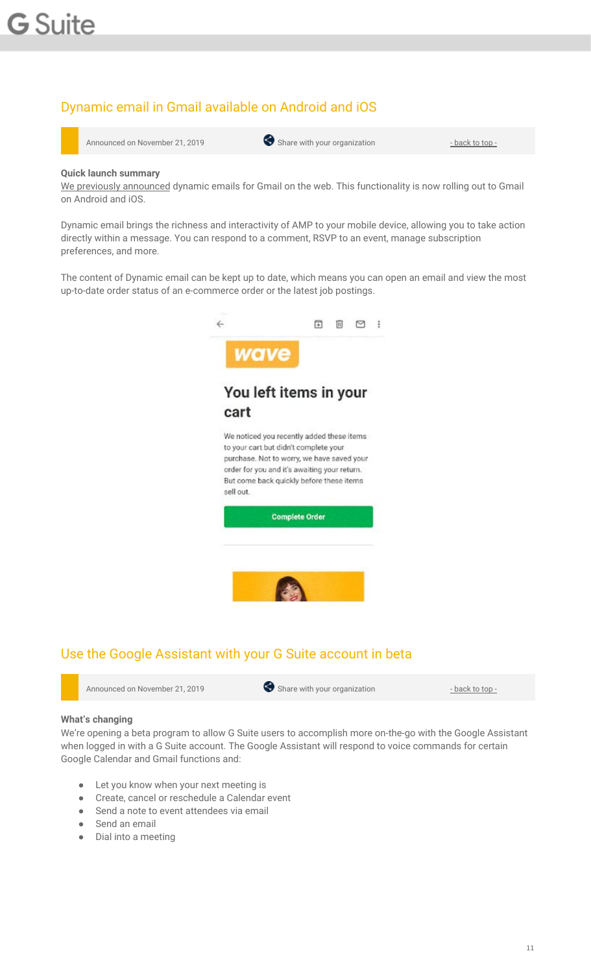### <span id="page-10-0"></span>Dynamic email in Gmail available on Android and iOS



Announced on November 21, 2019 Share with your organization - [back](#page-0-0) to top - back to top -

#### **Quick launch summary**

We previously [announced](https://gsuiteupdates.googleblog.com/2019/06/dynamic-email-in-gmail-becoming-GA.html) dynamic emails for Gmail on the web. This functionality is now rolling out to Gmail on Android and iOS.

Dynamic email brings the richness and interactivity of AMP to your mobile device, allowing you to take action directly within a message. You can respond to a comment, RSVP to an event, manage subscription preferences, and more.

The content of Dynamic email can be kept up to date, which means you can open an email and view the most up-to-date order status of an e-commerce order or the latest job postings.



## <span id="page-10-1"></span>Use the Google Assistant with your G Suite account in beta

| Announced on November 21, 2019 |  | Share with your organization | <u>- back to top -</u> |
|--------------------------------|--|------------------------------|------------------------|
|--------------------------------|--|------------------------------|------------------------|

#### **What's changing**

We're opening a beta program to allow G Suite users to accomplish more on-the-go with the Google Assistant when logged in with a G Suite account. The Google Assistant will respond to voice commands for certain Google Calendar and Gmail functions and:

- Let you know when your next meeting is
- Create, cancel or reschedule a Calendar event
- Send a note to event attendees via email
- Send an email
- Dial into a meeting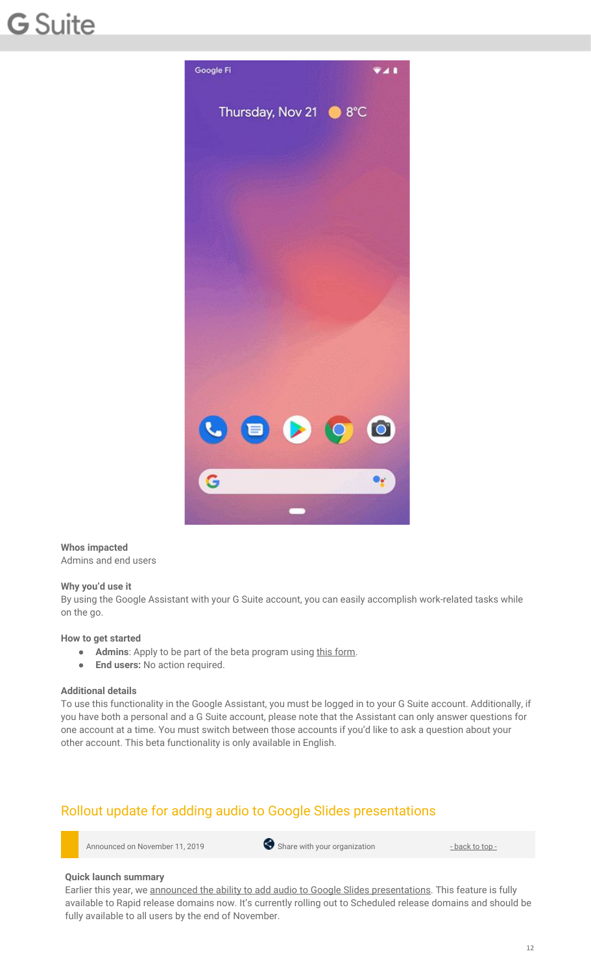

**Whos impacted** Admins and end users

#### **Why you'd use it**

By using the Google Assistant with your G Suite account, you can easily accomplish work-related tasks while on the go.

#### **How to get started**

- **Admins**: Apply to be part of the beta program using this [form](https://services.google.com/fb/forms/googleassistantforgsuite-betatestapplication/).
- **End users:** No action required.

#### **Additional details**

To use this functionality in the Google Assistant, you must be logged in to your G Suite account. Additionally, if you have both a personal and a G Suite account, please note that the Assistant can only answer questions for one account at a time. You must switch between those accounts if you'd like to ask a question about your other account. This beta functionality is only available in English.

### <span id="page-11-0"></span>Rollout update for adding audio to Google Slides presentations

Announced on November 11, 2019 **Share with your organization** - [back](#page-0-0) to top -

#### **Quick launch summary**

Earlier this year, we announced the ability to add audio to Google Slides [presentations](https://gsuiteupdates.googleblog.com/2019/04/add-audio-to-slides.html). This feature is fully available to Rapid release domains now. It's currently rolling out to Scheduled release domains and should be fully available to all users by the end of November.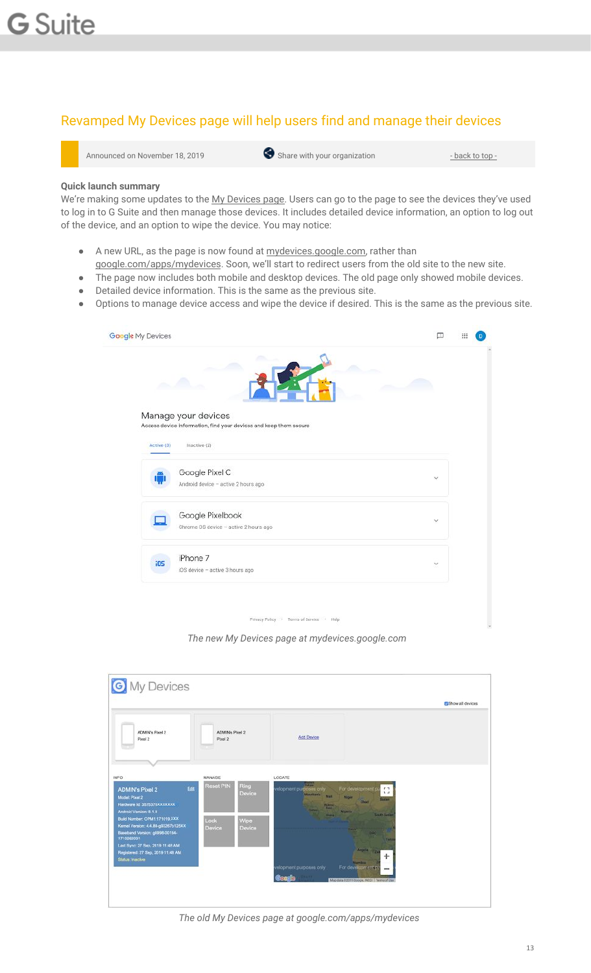### <span id="page-12-0"></span>Revamped My Devices page will help users find and manage their devices



#### **Quick launch summary**

We're making some updates to the My [Devices](https://www.google.com/apps/mydevices) page. Users can go to the page to see the devices they've used to log in to G Suite and then manage those devices. It includes detailed device information, an option to log out of the device, and an option to wipe the device. You may notice:

- A new URL, as the page is now found at [mydevices.google.com,](http://mydevices.google.com/) rather than
- [google.com/apps/mydevices](https://www.google.com/apps/mydevices). Soon, we'll start to redirect users from the old site to the new site.
- The page now includes both mobile and desktop devices. The old page only showed mobile devices.
- Detailed device information. This is the same as the previous site.
- Options to manage device access and wipe the device if desired. This is the same as the previous site.

| Google My Devices |                                                                                          | o            |  |
|-------------------|------------------------------------------------------------------------------------------|--------------|--|
|                   |                                                                                          |              |  |
|                   | Manage your devices<br>Access device information, find your devices and keep them secure |              |  |
| Active (3)        | Inactive (2)                                                                             |              |  |
|                   | Google Pixel C<br>Android device - active 2 hours ago                                    | $\checkmark$ |  |
|                   | Google Pixelbook<br>Chrome OS device - active 2 hours ago                                | $\sim$       |  |
| <b>iO5</b>        | iPhone 7<br>iOS device - active 3 hours ago                                              | ×            |  |
|                   |                                                                                          |              |  |
|                   | Privacy Policy . Terms of Service . Help                                                 |              |  |

*The new My Devices page at mydevices.google.com*

|                                                                                                                      |                            |                |                                                                                                                                                                                              | <b>E</b> Show all devices |
|----------------------------------------------------------------------------------------------------------------------|----------------------------|----------------|----------------------------------------------------------------------------------------------------------------------------------------------------------------------------------------------|---------------------------|
| ADMIN's Pixel 2<br>Pixel 2                                                                                           | ADMIN's Ploat 2<br>Pixel 2 |                | Add Device                                                                                                                                                                                   |                           |
| INFO.                                                                                                                | MANAGE                     |                | LOCATE                                                                                                                                                                                       |                           |
| Edit<br><b>ADMIN's Pixel 2</b><br>Model: Plant 2<br>Hardware Id: 3575370XXXXXXX<br>Android Version: 8.1.0            | Reset PIN                  | Ring<br>Device | <b>Silver</b><br>For development of<br>relopment purposes only<br>$\mathbb{C}^{\bullet}_{\alpha}$<br>Maximum Mall<br><b>Niger</b><br>fasten.<br><b>Chat</b><br><b>THEFT</b><br>سما<br>Nonta: |                           |
| Build Number: OPM1.171019.XXX<br>Kernel Version: 4.4.88-g93267b125XX<br>Baseband Version: g8998-00164-<br>1710262031 | Lock<br>Device             | Wipe<br>Device | <b>South Sudar</b><br><b>Direct</b><br><b>Contract</b><br>nac<br><b>Tans</b>                                                                                                                 |                           |
| Last Sync: 27 Sep, 2019 11:48 AM<br>Registered: 27 Sep. 2019 11:48 AM<br>Status: Inactive                            |                            |                | Argola .<br>m<br>÷<br><b>Marritime:</b><br>For development pt<br>elopment purposes only                                                                                                      |                           |

*The old My Devices page at google.com/apps/mydevices*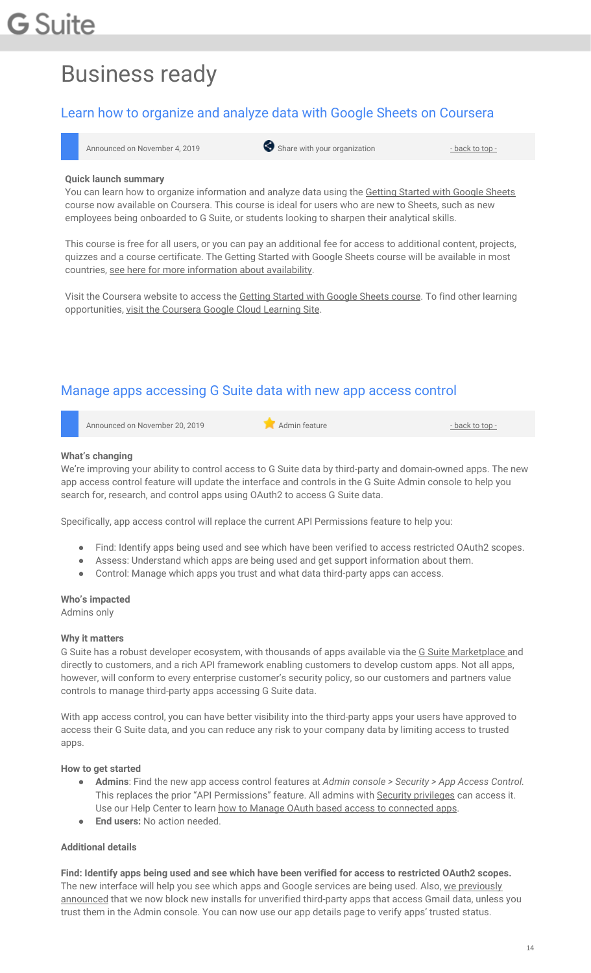# Business ready

### <span id="page-13-0"></span>Learn how to organize and analyze data with Google Sheets on Coursera



#### **Quick launch summary**

You can learn how to organize information and analyze data using the Getting [Started](https://www.coursera.org/learn/getting-started-with-google-sheets) with Google Sheets course now available on Coursera. This course is ideal for users who are new to Sheets, such as new employees being onboarded to G Suite, or students looking to sharpen their analytical skills.

This course is free for all users, or you can pay an additional fee for access to additional content, projects, quizzes and a course certificate. The Getting Started with Google Sheets course will be available in most countries, see here for more [information](https://learner.coursera.help/hc/en-us/articles/208280116-International-restrictions) about availability.

Visit the Coursera website to access the Getting [Started](https://www.coursera.org/learn/getting-started-with-google-sheets) with Google Sheets course. To find other learning opportunities, visit the [Coursera](https://www.coursera.org/googlecloud) Google Cloud Learning Site.

### <span id="page-13-1"></span>Manage apps accessing G Suite data with new app access control

Announced on November 20, 2019 **Administrative Administrative** - [back](#page-0-0) to top - back to top -

#### **What's changing**

We're improving your ability to control access to G Suite data by third-party and domain-owned apps. The new app access control feature will update the interface and controls in the G Suite Admin console to help you search for, research, and control apps using OAuth2 to access G Suite data.

Specifically, app access control will replace the current API Permissions feature to help you:

- Find: Identify apps being used and see which have been verified to access restricted OAuth2 scopes.
- Assess: Understand which apps are being used and get support information about them.
- Control: Manage which apps you trust and what data third-party apps can access.

#### **Who's impacted**

Admins only

#### **Why it matters**

G Suite has a robust developer ecosystem, with thousands of apps available via the G Suite [Marketplace](https://gsuite.google.com/marketplace/) and directly to customers, and a rich API framework enabling customers to develop custom apps. Not all apps, however, will conform to every enterprise customer's security policy, so our customers and partners value controls to manage third-party apps accessing G Suite data.

With app access control, you can have better visibility into the third-party apps your users have approved to access their G Suite data, and you can reduce any risk to your company data by limiting access to trusted apps.

#### **How to get started**

- **Admins**: Find the new app access control features at *Admin console > Security > App Access Control.* This replaces the prior "API Permissions" feature. All admins with Security [privileges](https://support.google.com/a/answer/7532105) can access it. Use our Help Center to learn how to Manage OAuth based access to [connected](https://support.google.com/a/answer/7281227) apps.
- **End users:** No action needed

#### **Additional details**

**Find: Identify apps being used and see which have been verified for access to restricted OAuth2 scopes.** The new interface will help you see which apps and Google services are being used. Also, we [previously](https://gsuiteupdates.googleblog.com/2019/06/third-party-apps-gmail-data.html) [announced](https://gsuiteupdates.googleblog.com/2019/06/third-party-apps-gmail-data.html) that we now block new installs for unverified third-party apps that access Gmail data, unless you trust them in the Admin console. You can now use our app details page to verify apps' trusted status.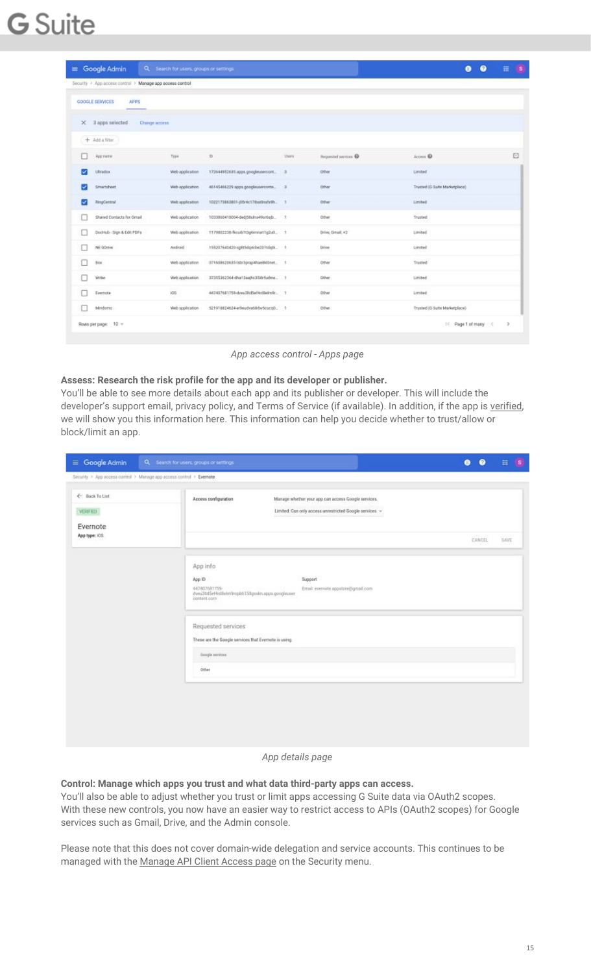|   | $\equiv$ Google Admin<br>Q                                | Search for users, groups or settings |                                       |              |                      | ⋒                             | 冊<br>18       |
|---|-----------------------------------------------------------|--------------------------------------|---------------------------------------|--------------|----------------------|-------------------------------|---------------|
|   | Security > App access control > Manage app access control |                                      |                                       |              |                      |                               |               |
|   | GOOGLE SERVICES<br><b>APPS</b>                            |                                      |                                       |              |                      |                               |               |
|   | X 3 apps selected                                         | Change access                        |                                       |              |                      |                               |               |
|   | $+$ Add a filter                                          |                                      |                                       |              |                      |                               |               |
|   | App nime                                                  | Type                                 | $\mathbb{D}$                          | <b>Users</b> | Requested services @ | Access <b>@</b>               | Ð             |
|   | <b>Ultradox</b>                                           | Web application                      | 172644952635.apps.googleusercont.     | э            | Other                | <b>Limited</b>                |               |
|   | Smartsheet                                                | Web application                      | 46145466229 apps googleuserconte.     | a            | Other                | Trusted (G Suite Marketplace) |               |
| ◡ | RingCentral                                               | Web application                      | 1022173863801-j05r4c17ibsd2mfs9h. 1   |              | Other                | Limited                       |               |
| Ľ | Shared Contacts for Grnail                                | Web application                      | 1033863418004-ded/58uhrs49sr6sjb 1    |              | Other                | Trusted                       |               |
|   | Dochlub - Sign & Edit PDFs                                | Web application                      | 1179802236-fkcusb1t3g6mmart1g2u0 1    |              | Drive, Orrust, +2    | Lievited                      |               |
|   | NE GDITVE                                                 | Android                              | 155207640420-sjRt5dq4cbe201tdq0i  1   |              | Drive                | United                        |               |
|   | Sca                                                       | Web application                      | 3716086206351shr3ptap4hae8kllnet. 1   |              | Other                | Trusted                       |               |
|   | Wrike                                                     | Web application                      | 37355362364-cha13aajhc358rfudms. 1    |              | Other                | Limited                       |               |
|   | Evernote                                                  | ios                                  | A47407681759-dveu@tidSef-krdBehn9r  1 |              | Other                | Limited                       |               |
| E | Mindoma                                                   | Web spplication                      | 521918824624-er9eudea68rbvScucoD. 1   |              | Other                | Trusted (G Suite Marketplace) |               |
|   | Rows per page: 10 -                                       |                                      |                                       |              |                      | IC Page 1 of many             | $\rightarrow$ |

*App access control - Apps page*

#### **Assess: Research the risk profile for the app and its developer or publisher.**

You'll be able to see more details about each app and its publisher or developer. This will include the developer's support email, privacy policy, and Terms of Service (if available). In addition, if the app is [verified,](https://support.google.com/cloud/answer/9110914) we will show you this information here. This information can help you decide whether to trust/allow or block/limit an app.

| $\equiv$ Google Admin                                               | Q Search for users, groups or settings                                                                                                                   | 0<br>$\bullet$       | 田    |
|---------------------------------------------------------------------|----------------------------------------------------------------------------------------------------------------------------------------------------------|----------------------|------|
| Security > App access control > Manage app access control > Evenote |                                                                                                                                                          |                      |      |
| ← Back To Lint<br>VERIFIED<br>Evernote                              | Manage whether your app can access Google services.<br>Access configuration<br>Limited: Can only access unrestricted Google services =                   |                      |      |
| App type: ICG                                                       |                                                                                                                                                          | 1,500,500<br>CANCEL. | SAVE |
|                                                                     | App info<br>App ID<br>Support<br>447407681759-<br>Email: evernote.appstore@gmail.com<br>dveu3ltd5ef4rdileim9ropb6158gmkn.apps.googleuser.<br>content.com |                      |      |
|                                                                     | Requested services<br>These are the Google services that Evernote is using.                                                                              |                      |      |
|                                                                     | . Essigle seniose<br>Other                                                                                                                               |                      |      |
|                                                                     |                                                                                                                                                          |                      |      |

#### *App details page*

**Control: Manage which apps you trust and what data third-party apps can access.**

You'll also be able to adjust whether you trust or limit apps accessing G Suite data via OAuth2 scopes. With these new controls, you now have an easier way to restrict access to APIs (OAuth2 scopes) for Google services such as Gmail, Drive, and the Admin console.

Please note that this does not cover domain-wide delegation and service accounts. This continues to be managed with the [Manage](https://support.google.com/a/answer/162106) API Client Access page on the Security menu.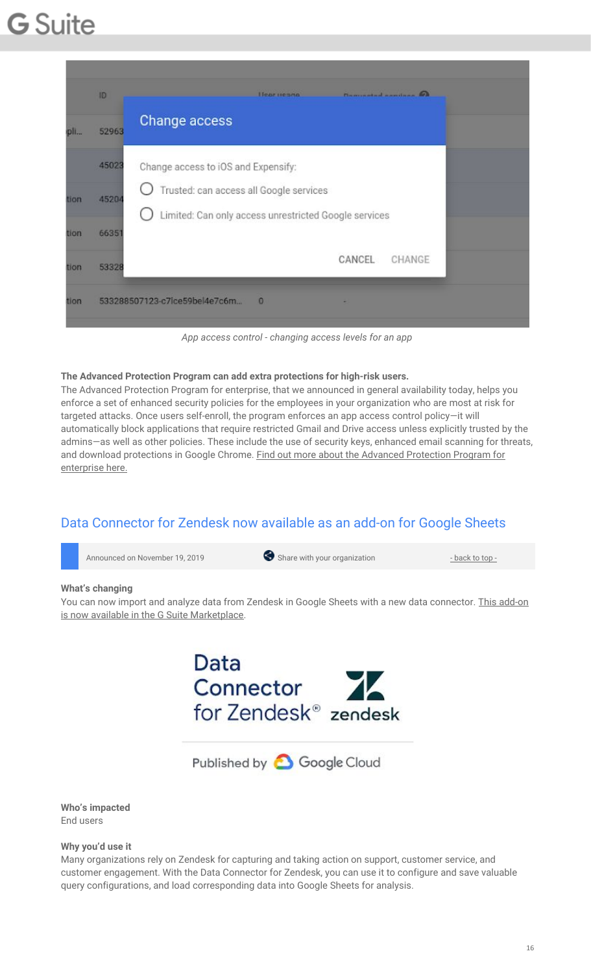| $n$ lla | 52963 | Change access                                                                                    |
|---------|-------|--------------------------------------------------------------------------------------------------|
|         | 45023 | Change access to iOS and Expensify:                                                              |
| tion    | 45204 | Trusted: can access all Google services<br>Limited: Can only access unrestricted Google services |
| tion    | 66351 |                                                                                                  |
| tion    | 53328 | CANCEL<br>CHANGE                                                                                 |

*App access control - changing access levels for an app*

#### **The Advanced Protection Program can add extra protections for high-risk users.**

The Advanced Protection Program for enterprise, that we announced in general availability today, helps you enforce a set of enhanced security policies for the employees in your organization who are most at risk for targeted attacks. Once users self-enroll, the program enforces an app access control policy—it will automatically block applications that require restricted Gmail and Drive access unless explicitly trusted by the admins—as well as other policies. These include the use of security keys, enhanced email scanning for threats, and download protections in Google Chrome. Find out more about the Advanced [Protection](https://gsuiteupdates.googleblog.com/2019/11/advanced-protection-program-high-risk-users.html) Program for [enterprise](https://gsuiteupdates.googleblog.com/2019/11/advanced-protection-program-high-risk-users.html) here.

### <span id="page-15-0"></span>Data Connector for Zendesk now available as an add-on for Google Sheets



You can now import and analyze data from Zendesk in Google Sheets with a new data connector. This [add-on](https://gsuite.google.com/marketplace/app/data_connector_for_zendesk/30725559692) is now available in the G Suite [Marketplace.](https://gsuite.google.com/marketplace/app/data_connector_for_zendesk/30725559692)



Published by **O** Google Cloud

**Who's impacted** End users

**Why you'd use it**

Many organizations rely on Zendesk for capturing and taking action on support, customer service, and customer engagement. With the Data Connector for Zendesk, you can use it to configure and save valuable query configurations, and load corresponding data into Google Sheets for analysis.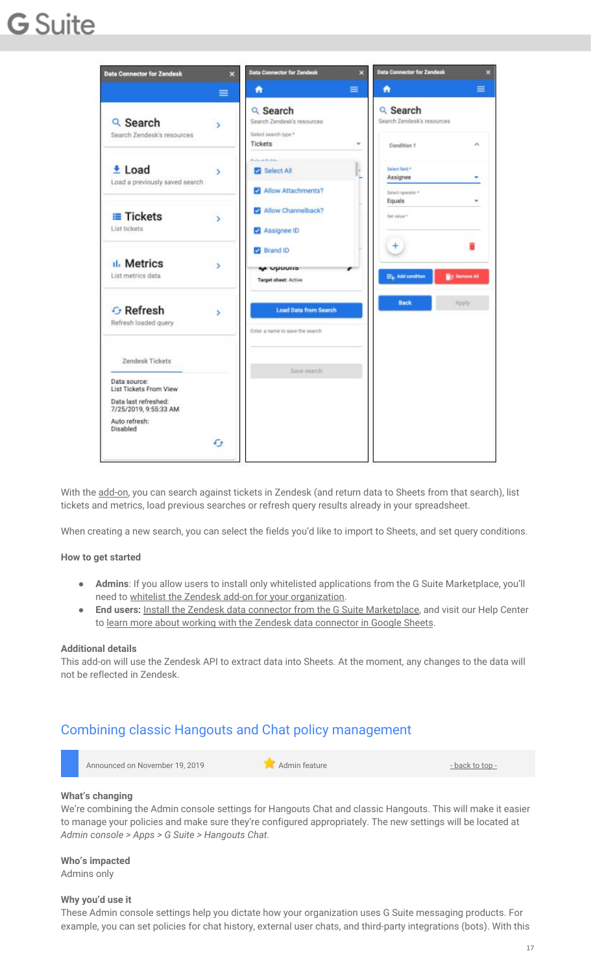

With the [add-on,](https://gsuite.google.com/marketplace/app/data_connector_for_zendesk/30725559692) you can search against tickets in Zendesk (and return data to Sheets from that search), list tickets and metrics, load previous searches or refresh query results already in your spreadsheet.

When creating a new search, you can select the fields you'd like to import to Sheets, and set query conditions.

#### **How to get started**

- Admins: If you allow users to install only whitelisted applications from the G Suite Marketplace, you'll need to whitelist the Zendesk add-on for your [organization.](https://support.google.com/a/answer/6089179)
- **End users:** Install the Zendesk data connector from the G Suite [Marketplace](https://gsuite.google.com/marketplace/app/data_connector_for_zendesk/30725559692), and visit our Help Center to learn more about working with the Zendesk data [connector](https://support.google.com/docs/answer/9625921) in Google Sheets.

#### **Additional details**

This add-on will use the Zendesk API to extract data into Sheets. At the moment, any changes to the data will not be reflected in Zendesk.

### <span id="page-16-0"></span>Combining classic Hangouts and Chat policy management

| Announced on November 19, 2019 | Admin feature | - back to top - |
|--------------------------------|---------------|-----------------|
|                                |               |                 |

#### **What's changing**

We're combining the Admin console settings for Hangouts Chat and classic Hangouts. This will make it easier to manage your policies and make sure they're configured appropriately. The new settings will be located at *Admin console > Apps > G Suite > Hangouts Chat.*

**Who's impacted** Admins only

#### **Why you'd use it**

These Admin console settings help you dictate how your organization uses G Suite messaging products. For example, you can set policies for chat history, external user chats, and third-party integrations (bots). With this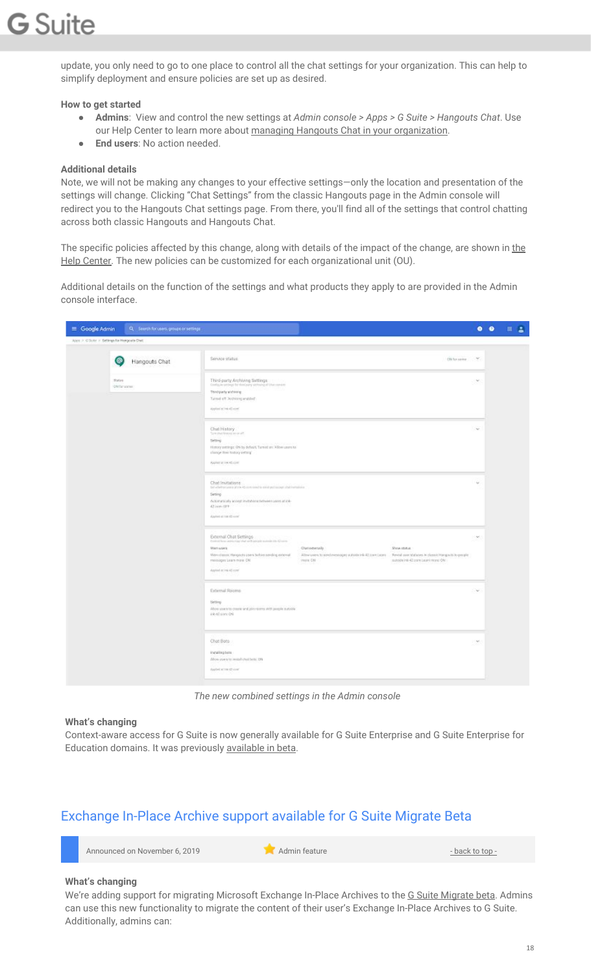update, you only need to go to one place to control all the chat settings for your organization. This can help to simplify deployment and ensure policies are set up as desired.

#### **How to get started**

- **Admins**: View and control the new settings at *Admin console > Apps > G Suite > Hangouts Chat*. Use our Help Center to learn more about managing Hangouts Chat in your [organization.](https://support.google.com/a/answer/9540647)
- **End users**: No action needed.

#### **Additional details**

Note, we will not be making any changes to your effective settings—only the location and presentation of the settings will change. Clicking "Chat Settings" from the classic Hangouts page in the Admin console will redirect you to the Hangouts Chat settings page. From there, you'll find all of the settings that control chatting across both classic Hangouts and Hangouts Chat.

The specific policies affected by this change, along with details of [the](https://support.google.com/a/answer/9540647) impact of the change, are shown in the Help [Center.](https://support.google.com/a/answer/9540647) The new policies can be customized for each organizational unit (OU).

Additional details on the function of the settings and what products they apply to are provided in the Admin console interface.

| $\equiv$ Google Admin                        | Q. Search for users, groups or settings |                                                                                                                                                                                                                                                                                                                                                                                                                               |        | 0 0 1 3 |
|----------------------------------------------|-----------------------------------------|-------------------------------------------------------------------------------------------------------------------------------------------------------------------------------------------------------------------------------------------------------------------------------------------------------------------------------------------------------------------------------------------------------------------------------|--------|---------|
| Apps > C Suite > Selfrige for Hongoria Chat. |                                         |                                                                                                                                                                                                                                                                                                                                                                                                                               |        |         |
| Θ                                            | Hangouts Chat                           | Service status<br>(Nicessee W.                                                                                                                                                                                                                                                                                                                                                                                                |        |         |
| <b>Zialini</b>                               | <b>ON far agree</b>                     | Third-party Archiving Settings:<br>Configure servings for those party serviced of Uhar company<br>Third-party and dring<br>Turnet eff. Anthieng enabled<br>Application (146-43 com)                                                                                                                                                                                                                                           | $\sim$ |         |
|                                              |                                         | Chat History<br>Turn shart franchise on aff.<br>Selting<br>Himsey arrivings: ON by default. Turned an: Allow users to:<br>change their tratory setting"<br>Applied at link 42.00 ml                                                                                                                                                                                                                                           | $\sim$ |         |
|                                              |                                         | Chat Invitations<br>Silverbehren und als der Norden und ein aber wird gestimmt anderen auf<br>Setting<br>Automatically accept invitations tubeen users at ink-<br>42 Jules OFF<br>Algebraic and true all corrent                                                                                                                                                                                                              |        |         |
|                                              |                                         | Einemal Chat Settings<br>Control firm under your shall and special materials the Chinese<br>Chatesterally.<br>Show status:<br>STAY'S A GROUP<br>View dassic Heighots stern before sending external<br>Allow years to send mesosiant subtitle infractions Lease . Through over Mahases in classic Hangouts to people<br>messages Learn-more: CN<br>more 041<br>sutrate intr-42 part Learni repre ON<br>Applied at link-42 com/ | $\leq$ |         |
|                                              |                                         | External Rooms<br>Setting<br>Abow stars to charity and join rooms with people subside<br>ink-to some deli                                                                                                                                                                                                                                                                                                                     | $\sim$ |         |
|                                              |                                         | Chat Bots<br>Installing bots<br>Afony as er s to restall chairbors: DN<br>Audelonic echine 42 com"                                                                                                                                                                                                                                                                                                                            | $\sim$ |         |

*The new combined settings in the Admin console*

#### **What's changing**

Context-aware access for G Suite is now generally available for G Suite Enterprise and G Suite Enterprise for Education domains. It was previously [available](https://gsuiteupdates.googleblog.com/2019/04/context-aware-access-control-beta.html) in beta.

### <span id="page-17-0"></span>Exchange In-Place Archive support available for G Suite Migrate Beta

| Announced on November 6, 2019 | Admin feature | - back to top - |
|-------------------------------|---------------|-----------------|
|                               |               |                 |

#### **What's changing**

We're adding support for migrating Microsoft Exchange In-Place Archives to the G Suite [Migrate](https://support.google.com/gsuitemigrate#topic=9223062) beta. Admins can use this new functionality to migrate the content of their user's Exchange In-Place Archives to G Suite. Additionally, admins can: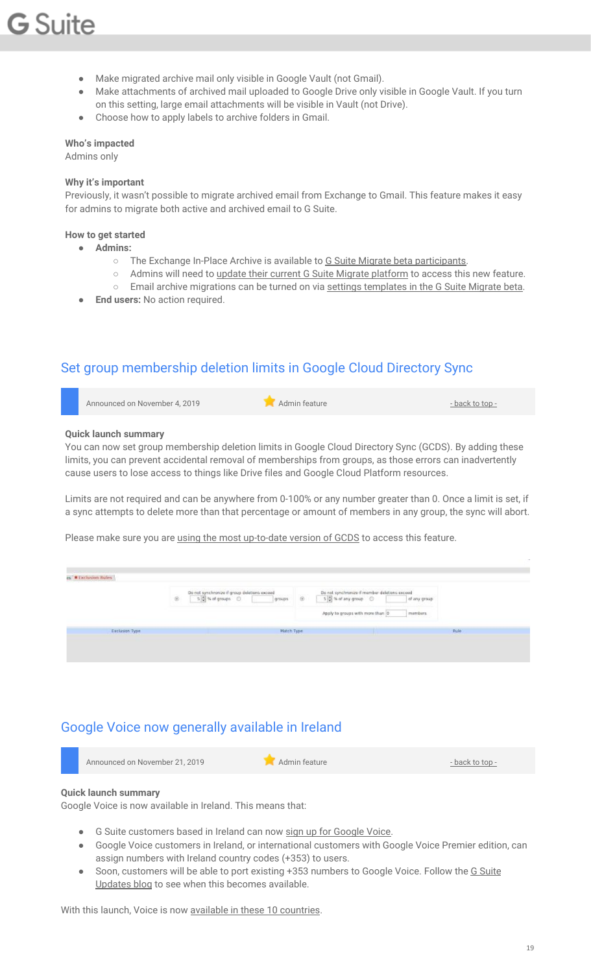- Make migrated archive mail only visible in Google Vault (not Gmail).
- Make attachments of archived mail uploaded to Google Drive only visible in Google Vault. If you turn on this setting, large email attachments will be visible in Vault (not Drive).
- Choose how to apply labels to archive folders in Gmail.

#### **Who's impacted**

Admins only

#### **Why it's important**

Previously, it wasn't possible to migrate archived email from Exchange to Gmail. This feature makes it easy for admins to migrate both active and archived email to G Suite.

#### **How to get started**

- **● Admins:**
	- The Exchange In-Place Archive is available to G Suite Migrate beta [participants.](https://docs.google.com/forms/d/e/1FAIpQLSc3NWF7ayOWl7jY2VXa1w7atuOIy8IaJCGkI7rYyxpaIl0vkA/viewform)
	- Admins will need to update their current G Suite Migrate [platform](https://support.google.com/gsuitemigrate/topic/9225768) to access this new feature.
	- Email archive migrations can be turned on via settings [templates](https://support.google.com/gsuitemigrate/answer/9229021#copyexch) in the G Suite Migrate beta.
- **End users:** No action required.

### <span id="page-18-0"></span>Set group membership deletion limits in Google Cloud Directory Sync

| Announced on November 4, 2019 | Admin feature | - back to top - |
|-------------------------------|---------------|-----------------|
|                               |               |                 |

#### **Quick launch summary**

You can now set group membership deletion limits in Google Cloud Directory Sync (GCDS). By adding these limits, you can prevent accidental removal of memberships from groups, as those errors can inadvertently cause users to lose access to things like Drive files and Google Cloud Platform resources.

Limits are not required and can be anywhere from 0-100% or any number greater than 0. Once a limit is set, if a sync attempts to delete more than that percentage or amount of members in any group, the sync will abort.

Please make sure you are using the most [up-to-date](https://support.google.com/a/answer/6120989) version of GCDS to access this feature.

| es. W Exclusion Rules | Do not synchronize if group deletions exceed<br>$\circledR$<br>5 % of groups ©<br>groups: | Do not synchronize if member deletions exceed<br>$\circledR$<br>$5 - 3$ % of any group $\bigcirc$<br>of any group<br>Apply to groups with more than 0<br>members |             |
|-----------------------|-------------------------------------------------------------------------------------------|------------------------------------------------------------------------------------------------------------------------------------------------------------------|-------------|
| Exclusion Type        | <b>Match Type</b>                                                                         |                                                                                                                                                                  | <b>Rule</b> |

### <span id="page-18-1"></span>Google Voice now generally available in Ireland

|  | Announced on November 21, 2019 | Admin feature | - back to top - |
|--|--------------------------------|---------------|-----------------|
|--|--------------------------------|---------------|-----------------|

#### **Quick launch summary**

Google Voice is now available in Ireland. This means that:

- **•** G Suite customers based in Ireland can now sign up for [Google](https://cloud.google.com/voice/#contactsales) Voice.
- Google Voice customers in Ireland, or international customers with Google Voice Premier edition, can assign numbers with Ireland country codes (+353) to users.
- Soon, customers will be able to port existing +353 numbers to Google Voice. Follow the G [Suite](https://gsuiteupdates.googleblog.com/) [Updates](https://gsuiteupdates.googleblog.com/) blog to see when this becomes available.

With this launch, Voice is now available in these 10 [countries.](https://support.google.com/voice/answer/9310722)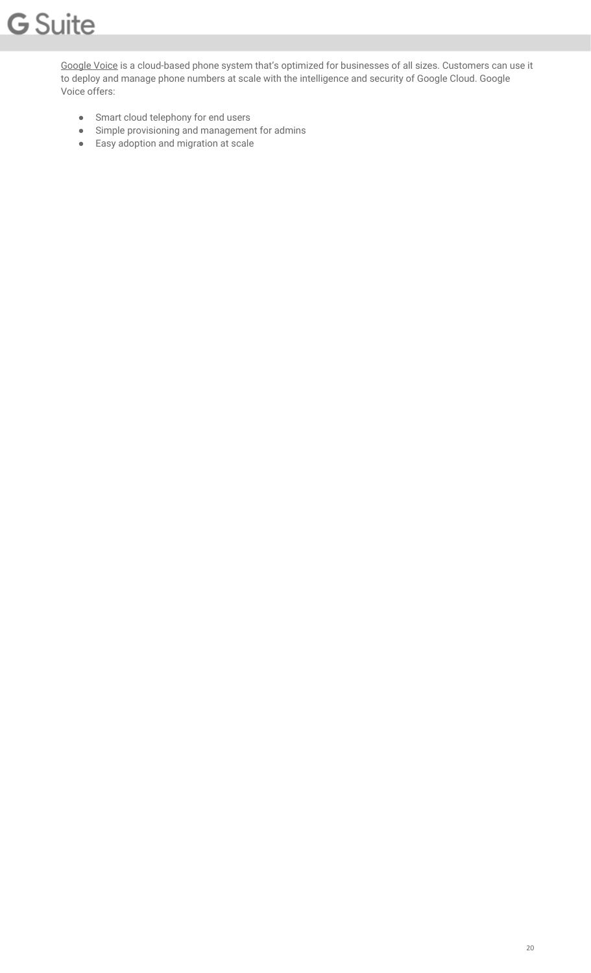[Google](https://cloud.google.com/voice/) Voice is a cloud-based phone system that's optimized for businesses of all sizes. Customers can use it to deploy and manage phone numbers at scale with the intelligence and security of Google Cloud. Google Voice offers:

- Smart cloud telephony for end users
- Simple provisioning and management for admins
- Easy adoption and migration at scale